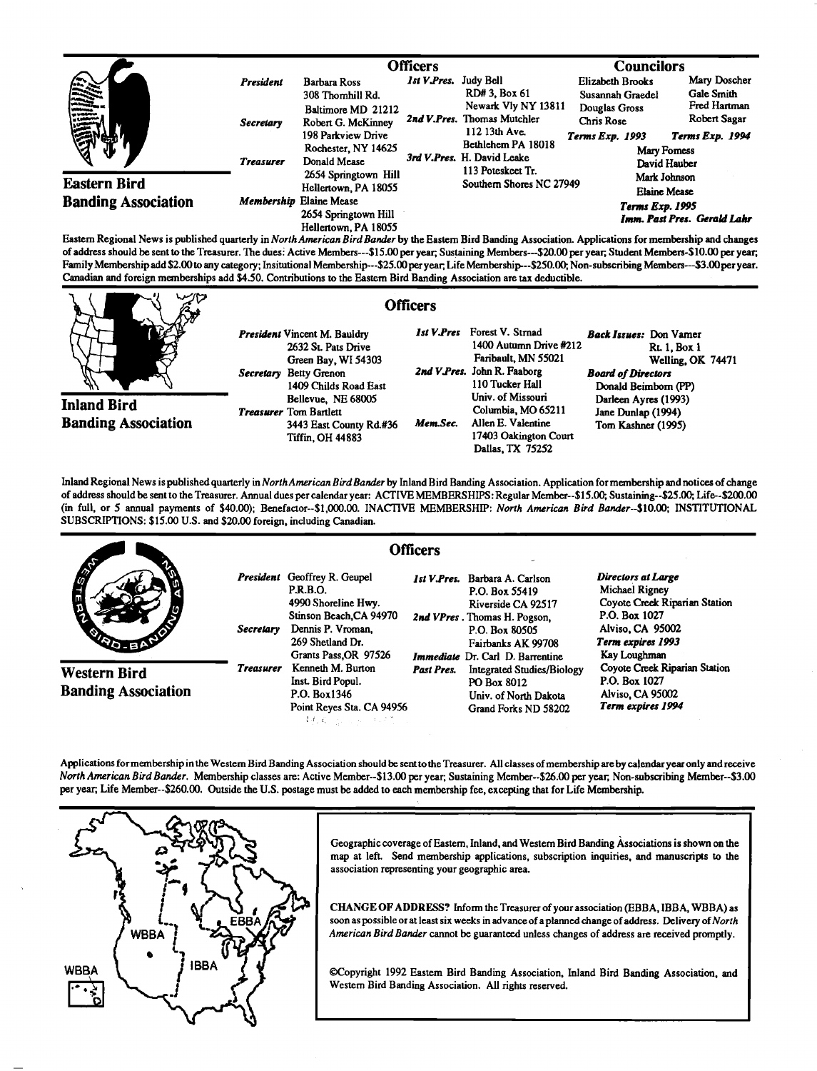|                            |                  | Officers                                        |                                                                                                                                                   |                                                       | <b>Councilors</b>                                     |                              |
|----------------------------|------------------|-------------------------------------------------|---------------------------------------------------------------------------------------------------------------------------------------------------|-------------------------------------------------------|-------------------------------------------------------|------------------------------|
| iiii.                      | <b>President</b> | Barbara Ross<br>308 Thomhill Rd.                | <b>Ist V.Pres.</b> Judy Bell                                                                                                                      | RD# 3, Box 61                                         | <b>Elizabeth Brooks</b><br>Susannah Graedel           | Mary Doscher<br>Gale Smith   |
| <b>Eastern Bird</b>        | <b>Secretary</b> | Baltimore MD 21212<br>Robert G. McKinney        | 2nd V.Pres. Thomas Mutchler<br>112 13th Ave.<br>Bethlehem PA 18018<br>3rd V.Pres. H. David Leake<br>113 Poteskeet Tr.<br>Southern Shores NC 27949 | Newark Vly NY 13811                                   | Douglas Gross<br><b>Chris Rose</b>                    | Fred Hartman<br>Robert Sagar |
|                            |                  | 198 Parkview Drive<br>Rochester, NY 14625       |                                                                                                                                                   |                                                       | <b>Terms Exp. 1993</b><br>Mary Foress<br>David Hauber | Terms Exp. 1994              |
|                            | <b>Treasurer</b> | Donald Mease                                    |                                                                                                                                                   |                                                       |                                                       |                              |
|                            |                  | 2654 Springtown Hill<br>Hellertown, PA 18055    |                                                                                                                                                   | Mark Johnson<br><b>Elaine Mease</b>                   |                                                       |                              |
| <b>Banding Association</b> |                  | Membership Elaine Mease<br>2654 Springtown Hill |                                                                                                                                                   | <b>Terms Exp. 1995</b><br>Imm. Past Pres. Gerald Lahr |                                                       |                              |
| .<br>.<br>.                | .                | Hellertown, PA 18055                            |                                                                                                                                                   |                                                       | .                                                     |                              |

**Eastem Regional News is published quarterly in North American Bird Bander by the Eastem Bird Banding Association. Applications for membership and changes**  of address should be sent to the Treasurer. The dues: Active Members---\$15.00 per year; Sustaining Members---\$20.00 per year; Student Members-\$10.00 per year; Family Membership add \$2.00 to any category; Insitutional Membership---\$25.00 per year; Life Membership---\$250.00; Non-subscribing Members---\$3.00 per year. Canadian and foreign memberships add \$4.50. Contributions to the Eastern Bird Banding Association are tax deductible.



**Inland Bird Banding Association**  **President Vincent M. Bauldry 2632 St Pats Drive Green Bay, W154303**  Secretary Betty Grenon **1409 Childs Road East Bellevue, NE 68005 Treasurer Tom Bartlett**  3443 East County Rd.#36 Mem.Sec. **Tiffin, OH 44883** 

## **Officers**

*Ist V.Pres* Forest V. Strnad **1400 Autumn Drive •212 Faribault, MN 55021**  2nd V.Pres. John R. Faaborg **110 Tucker Hall Univ. of Missouri Columbia, MO 65211 Allen E. Valentine 17403 Oakington Court Dallas, TX 75252** 

Back Issues: Don Vamer **Rt. 1, Box 1 Welling, OK 74471 Board of Directors Donald Beimborn (PP) Darleen Ayres (1993) Jane Dunlap (1994) Tom Kashner (1995)** 

**Inland Regional News is published quarterly in NorthAmerican Bird Bander by Inland Bird Banding Association. Application for membership and notices of change of address should be sent to the Treasurer. Annual dues per calendar year: ACTIVE MEMBERSHIPS: Regular Member--\$15.00;, Sustaining--S25.00; Life--S200.00 (in full, or 5 annual payments of \$40.00); Benefactor--S1,000.00. INACTIVE MEMBERSHIP: North American Bird Bander--S10.00; INSTITUTIONAL SUBSCRIPTIONS: \$15.00 U.S. and \$20.00 foreign, including Canadian.** 

|                                            |                  |                                                                                                                                                                            | <b>Officers</b> |                                                                                                                                                                                    |                                                                                                                                                 |
|--------------------------------------------|------------------|----------------------------------------------------------------------------------------------------------------------------------------------------------------------------|-----------------|------------------------------------------------------------------------------------------------------------------------------------------------------------------------------------|-------------------------------------------------------------------------------------------------------------------------------------------------|
| <b>CITY</b>                                | <b>Secretary</b> | <b>President</b> Geoffrey R. Geupel<br><b>P.R.B.O.</b><br>4990 Shoreline Hwy.<br>Stinson Beach, CA 94970<br>Dennis P. Vroman,<br>269 Shetland Dr.<br>Grants Pass, OR 97526 |                 | 1st V.Pres. Barbara A. Carlson<br>P.O. Box 55419<br>Riverside CA 92517<br>2nd VPres. Thomas H. Pogson,<br>P.O. Box 80505<br>Fairbanks AK 99708<br>Immediate Dr. Carl D. Barrentine | Directors at Large<br>Michael Rigney<br>Coyote Creek Riparian Station<br>P.O. Box 1027<br>Alviso, CA 95002<br>Term expires 1993<br>Kay Loughman |
| Western Bird<br><b>Banding Association</b> | <b>Treasurer</b> | Kenneth M. Burton<br>Inst. Bird Popul.<br>P.O. Box1346<br>Point Reyes Sta. CA 94956<br>特徴 シュートパン                                                                           | Past Pres.      | <b>Integrated Studies/Biology</b><br>PO Box 8012<br>Univ. of North Dakota<br>Grand Forks ND 58202                                                                                  | Coyote Creek Riparian Station<br>P.O. Box 1027<br><b>Alviso, CA 95002</b><br>Term expires 1994                                                  |

**Applications formembership in the Westem Bird Banding Association should be sent to the Treasurer. All classes ofmembership are by calendar year only and receive North American Bird Bander. Membership classes are: Active Member--S13.00 peryear; Sustaining Member--S26.00 peryear;, Non-subscribing Member--S3.00 per year;, Life Member--S260.00. Outside the U.S. postage must be added to each membership fee, excepting that for Life Membership.** 



Geographic coverage of Eastern, Inland, and Western Bird Banding Associations is shown on the **map at left. Send membership applications, subscription inquiries, and manuscripts to the association representing your geographic area.** 

**CHANGE OF ADDRESS? Inform the Treasurer ofyour association (EBBA, IBBA, WBBA) as soon as possible or at least six weeks in advance of a planned change of address. Delivery of North**  American Bird Bander cannot be guaranteed unless changes of address are received promptly.

**•Copyright 1992 Eastem Bird Banding Association, Inland Bird Banding Association, and Western Bird Banding Association. All rights reserved.**